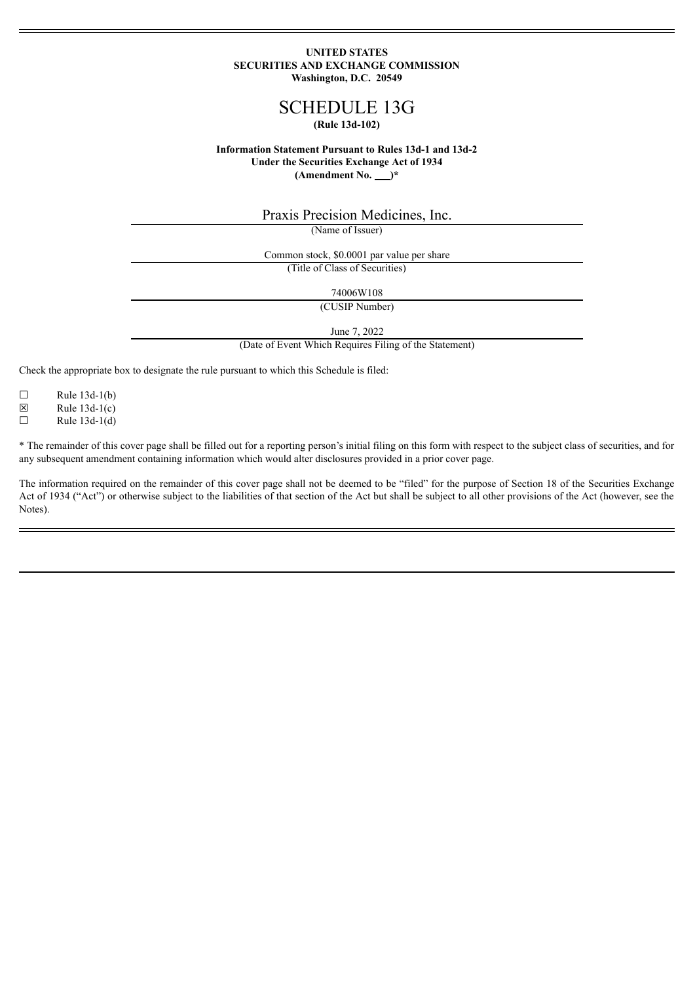### **UNITED STATES SECURITIES AND EXCHANGE COMMISSION Washington, D.C. 20549**

# SCHEDULE 13G **(Rule 13d-102)**

### **Information Statement Pursuant to Rules 13d-1 and 13d-2 Under the Securities Exchange Act of 1934**  $(Amendment No.  $\underline{\hspace{1cm}})^*$$

Praxis Precision Medicines, Inc.

(Name of Issuer)

Common stock, \$0.0001 par value per share (Title of Class of Securities)

74006W108

(CUSIP Number)

June 7, 2022

(Date of Event Which Requires Filing of the Statement)

Check the appropriate box to designate the rule pursuant to which this Schedule is filed:

 $\Box$  Rule 13d-1(b)<br>  $\boxtimes$  Rule 13d-1(c)

Rule  $13d-1(c)$ 

 $\Box$  Rule 13d-1(d)

\* The remainder of this cover page shall be filled out for a reporting person's initial filing on this form with respect to the subject class of securities, and for any subsequent amendment containing information which would alter disclosures provided in a prior cover page.

The information required on the remainder of this cover page shall not be deemed to be "filed" for the purpose of Section 18 of the Securities Exchange Act of 1934 ("Act") or otherwise subject to the liabilities of that section of the Act but shall be subject to all other provisions of the Act (however, see the Notes).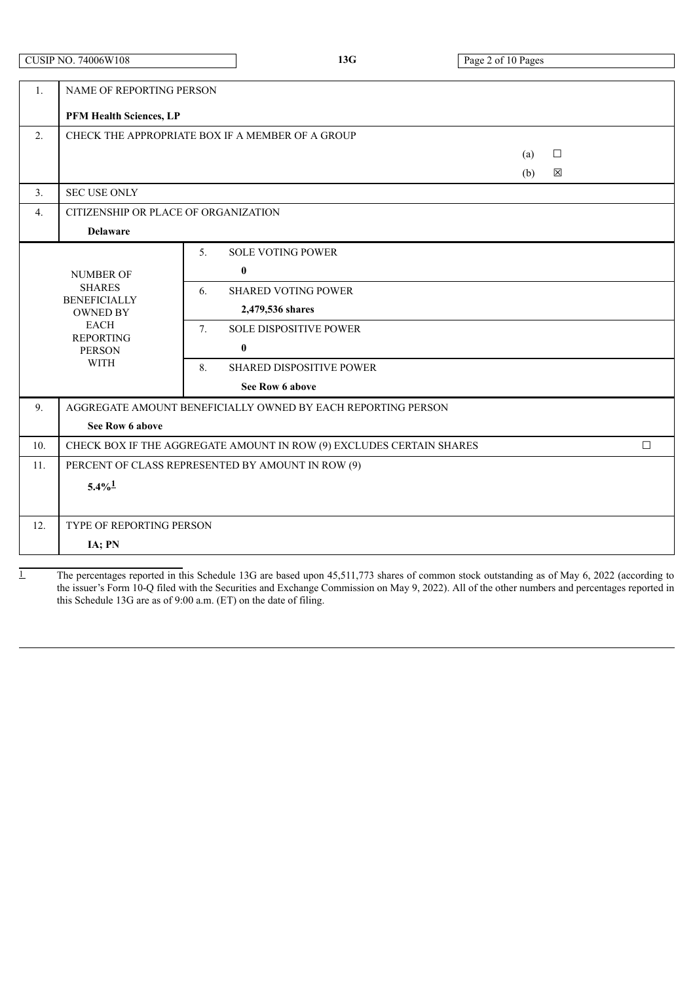| <b>CUSIP NO. 74006W108</b> |
|----------------------------|
|                            |
|                            |

| 1.  | <b>NAME OF REPORTING PERSON</b>                                                                           |                                                              |  |  |  |  |
|-----|-----------------------------------------------------------------------------------------------------------|--------------------------------------------------------------|--|--|--|--|
|     | PFM Health Sciences, LP                                                                                   |                                                              |  |  |  |  |
| 2.  |                                                                                                           | CHECK THE APPROPRIATE BOX IF A MEMBER OF A GROUP             |  |  |  |  |
|     |                                                                                                           | $\Box$<br>(a)                                                |  |  |  |  |
|     |                                                                                                           | ⊠<br>(b)                                                     |  |  |  |  |
| 3.  | <b>SEC USE ONLY</b>                                                                                       |                                                              |  |  |  |  |
| 4.  | CITIZENSHIP OR PLACE OF ORGANIZATION                                                                      |                                                              |  |  |  |  |
|     | <b>Delaware</b>                                                                                           |                                                              |  |  |  |  |
|     |                                                                                                           | <b>SOLE VOTING POWER</b><br>5 <sub>1</sub>                   |  |  |  |  |
|     | <b>NUMBER OF</b>                                                                                          | $\bf{0}$                                                     |  |  |  |  |
|     | <b>SHARES</b>                                                                                             | <b>SHARED VOTING POWER</b><br>6.                             |  |  |  |  |
|     | <b>BENEFICIALLY</b><br><b>OWNED BY</b><br><b>EACH</b><br><b>REPORTING</b><br><b>PERSON</b><br><b>WITH</b> | 2,479,536 shares                                             |  |  |  |  |
|     |                                                                                                           | 7.<br><b>SOLE DISPOSITIVE POWER</b>                          |  |  |  |  |
|     |                                                                                                           | $\mathbf{0}$                                                 |  |  |  |  |
|     |                                                                                                           | 8.<br><b>SHARED DISPOSITIVE POWER</b>                        |  |  |  |  |
|     |                                                                                                           | See Row 6 above                                              |  |  |  |  |
| 9.  |                                                                                                           | AGGREGATE AMOUNT BENEFICIALLY OWNED BY EACH REPORTING PERSON |  |  |  |  |
|     | See Row 6 above                                                                                           |                                                              |  |  |  |  |
| 10. | CHECK BOX IF THE AGGREGATE AMOUNT IN ROW (9) EXCLUDES CERTAIN SHARES<br>$\Box$                            |                                                              |  |  |  |  |
| 11. | PERCENT OF CLASS REPRESENTED BY AMOUNT IN ROW (9)                                                         |                                                              |  |  |  |  |
|     | $5.4\%$ <sup>1</sup>                                                                                      |                                                              |  |  |  |  |
|     |                                                                                                           |                                                              |  |  |  |  |
| 12. | TYPE OF REPORTING PERSON                                                                                  |                                                              |  |  |  |  |
|     | IA; PN                                                                                                    |                                                              |  |  |  |  |

1 The percentages reported in this Schedule 13G are based upon 45,511,773 shares of common stock outstanding as of May 6, 2022 (according to the issuer's Form 10-Q filed with the Securities and Exchange Commission on May 9, 2022). All of the other numbers and percentages reported in this Schedule 13G are as of 9:00 a.m. (ET) on the date of filing.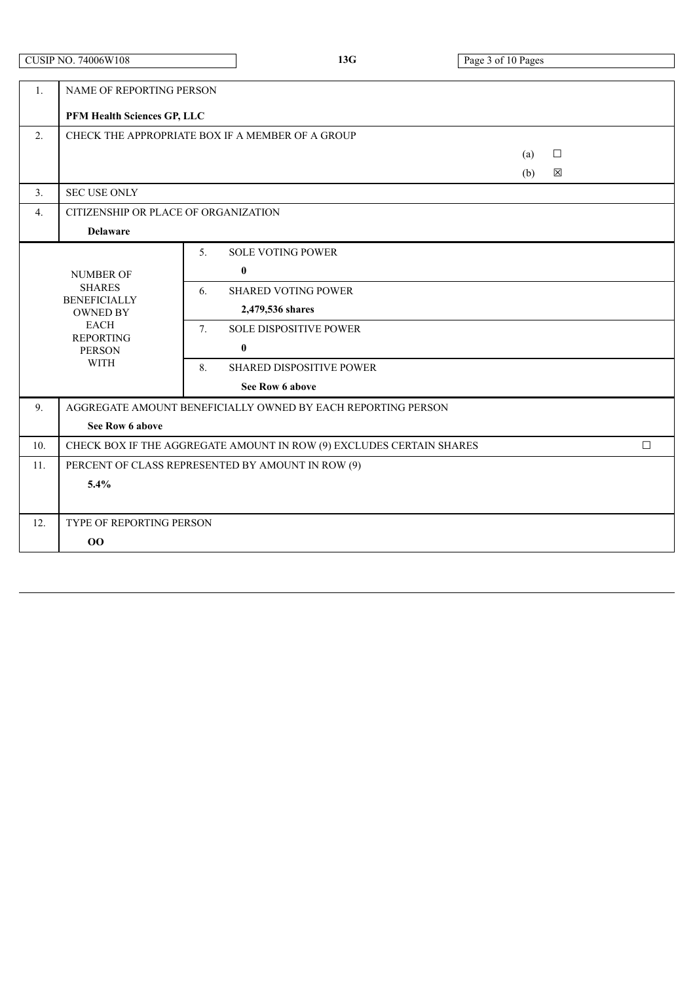|     | <b>CUSIP NO. 74006W108</b>                                                                                                                     |                                              | 13G                                                                                                                                                               |  | Page 3 of 10 Pages |             |        |
|-----|------------------------------------------------------------------------------------------------------------------------------------------------|----------------------------------------------|-------------------------------------------------------------------------------------------------------------------------------------------------------------------|--|--------------------|-------------|--------|
| 1.  | NAME OF REPORTING PERSON<br>PFM Health Sciences GP, LLC                                                                                        |                                              |                                                                                                                                                                   |  |                    |             |        |
| 2.  | CHECK THE APPROPRIATE BOX IF A MEMBER OF A GROUP                                                                                               |                                              |                                                                                                                                                                   |  |                    |             |        |
|     |                                                                                                                                                |                                              |                                                                                                                                                                   |  | (a)<br>(b)         | $\Box$<br>⊠ |        |
| 3.  | <b>SEC USE ONLY</b>                                                                                                                            |                                              |                                                                                                                                                                   |  |                    |             |        |
| 4.  | CITIZENSHIP OR PLACE OF ORGANIZATION                                                                                                           |                                              |                                                                                                                                                                   |  |                    |             |        |
|     | <b>Delaware</b>                                                                                                                                |                                              |                                                                                                                                                                   |  |                    |             |        |
|     | <b>NUMBER OF</b><br><b>SHARES</b><br><b>BENEFICIALLY</b><br><b>OWNED BY</b><br><b>EACH</b><br><b>REPORTING</b><br><b>PERSON</b><br><b>WITH</b> | 5.<br>$\bf{0}$<br>6.<br>7.<br>$\bf{0}$<br>8. | <b>SOLE VOTING POWER</b><br><b>SHARED VOTING POWER</b><br>2,479,536 shares<br><b>SOLE DISPOSITIVE POWER</b><br><b>SHARED DISPOSITIVE POWER</b><br>See Row 6 above |  |                    |             |        |
| 9.  |                                                                                                                                                |                                              | AGGREGATE AMOUNT BENEFICIALLY OWNED BY EACH REPORTING PERSON                                                                                                      |  |                    |             |        |
|     | See Row 6 above                                                                                                                                |                                              |                                                                                                                                                                   |  |                    |             |        |
| 10. |                                                                                                                                                |                                              | CHECK BOX IF THE AGGREGATE AMOUNT IN ROW (9) EXCLUDES CERTAIN SHARES                                                                                              |  |                    |             | $\Box$ |
| 11. | PERCENT OF CLASS REPRESENTED BY AMOUNT IN ROW (9)<br>5.4%                                                                                      |                                              |                                                                                                                                                                   |  |                    |             |        |
| 12. | TYPE OF REPORTING PERSON                                                                                                                       |                                              |                                                                                                                                                                   |  |                    |             |        |
|     | 00                                                                                                                                             |                                              |                                                                                                                                                                   |  |                    |             |        |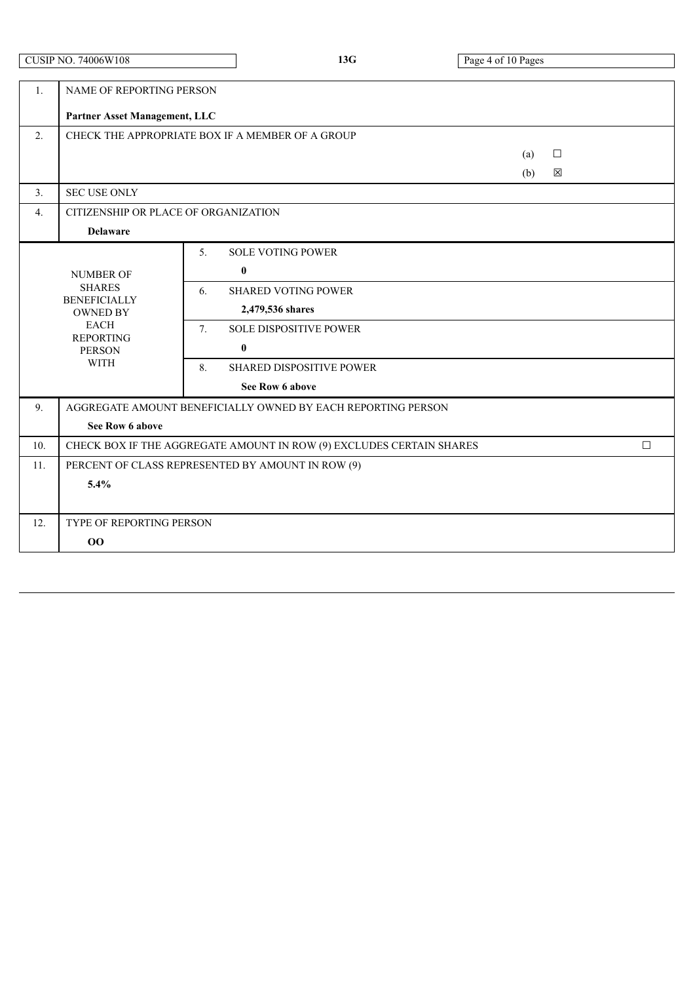|                  | <b>CUSIP NO. 74006W108</b>                                                                                                                     |                      | 13G                                                                                                                                                                                | Page 4 of 10 Pages |             |        |
|------------------|------------------------------------------------------------------------------------------------------------------------------------------------|----------------------|------------------------------------------------------------------------------------------------------------------------------------------------------------------------------------|--------------------|-------------|--------|
| 1.               | NAME OF REPORTING PERSON<br>Partner Asset Management, LLC                                                                                      |                      |                                                                                                                                                                                    |                    |             |        |
| 2.               | CHECK THE APPROPRIATE BOX IF A MEMBER OF A GROUP                                                                                               |                      |                                                                                                                                                                                    |                    |             |        |
|                  |                                                                                                                                                |                      |                                                                                                                                                                                    | (a)<br>(b)         | $\Box$<br>区 |        |
| $\overline{3}$ . | <b>SEC USE ONLY</b>                                                                                                                            |                      |                                                                                                                                                                                    |                    |             |        |
| $\overline{4}$ . | CITIZENSHIP OR PLACE OF ORGANIZATION                                                                                                           |                      |                                                                                                                                                                                    |                    |             |        |
|                  | <b>Delaware</b>                                                                                                                                |                      |                                                                                                                                                                                    |                    |             |        |
|                  | <b>NUMBER OF</b><br><b>SHARES</b><br><b>BENEFICIALLY</b><br><b>OWNED BY</b><br><b>EACH</b><br><b>REPORTING</b><br><b>PERSON</b><br><b>WITH</b> | 5.<br>6.<br>7.<br>8. | <b>SOLE VOTING POWER</b><br>$\bf{0}$<br><b>SHARED VOTING POWER</b><br>2,479,536 shares<br><b>SOLE DISPOSITIVE POWER</b><br>$\bf{0}$<br>SHARED DISPOSITIVE POWER<br>See Row 6 above |                    |             |        |
| 9 <sub>1</sub>   |                                                                                                                                                |                      | AGGREGATE AMOUNT BENEFICIALLY OWNED BY EACH REPORTING PERSON                                                                                                                       |                    |             |        |
|                  | See Row 6 above                                                                                                                                |                      |                                                                                                                                                                                    |                    |             |        |
| 10.              |                                                                                                                                                |                      | CHECK BOX IF THE AGGREGATE AMOUNT IN ROW (9) EXCLUDES CERTAIN SHARES                                                                                                               |                    |             | $\Box$ |
| 11.              | PERCENT OF CLASS REPRESENTED BY AMOUNT IN ROW (9)<br>5.4%                                                                                      |                      |                                                                                                                                                                                    |                    |             |        |
| 12.              | TYPE OF REPORTING PERSON                                                                                                                       |                      |                                                                                                                                                                                    |                    |             |        |
|                  | 00                                                                                                                                             |                      |                                                                                                                                                                                    |                    |             |        |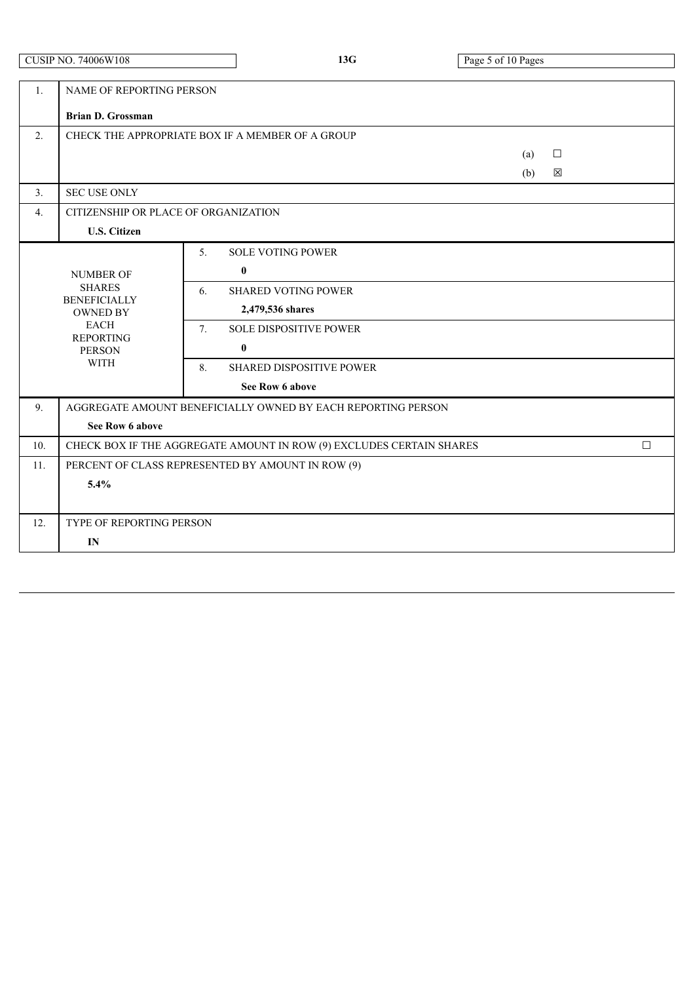$\overline{\phantom{a}}$ 

| $\mathbf{1}$ . | NAME OF REPORTING PERSON                                                                                  |                                                              |     |        |  |  |  |
|----------------|-----------------------------------------------------------------------------------------------------------|--------------------------------------------------------------|-----|--------|--|--|--|
|                | <b>Brian D. Grossman</b>                                                                                  |                                                              |     |        |  |  |  |
| 2.             |                                                                                                           | CHECK THE APPROPRIATE BOX IF A MEMBER OF A GROUP             |     |        |  |  |  |
|                |                                                                                                           |                                                              | (a) | $\Box$ |  |  |  |
|                |                                                                                                           |                                                              | (b) | 区      |  |  |  |
| 3.             | <b>SEC USE ONLY</b>                                                                                       |                                                              |     |        |  |  |  |
| 4.             | CITIZENSHIP OR PLACE OF ORGANIZATION                                                                      |                                                              |     |        |  |  |  |
|                | <b>U.S. Citizen</b>                                                                                       |                                                              |     |        |  |  |  |
|                |                                                                                                           | <b>SOLE VOTING POWER</b><br>5 <sub>1</sub>                   |     |        |  |  |  |
|                | <b>NUMBER OF</b>                                                                                          | $\bf{0}$                                                     |     |        |  |  |  |
|                | <b>SHARES</b>                                                                                             | <b>SHARED VOTING POWER</b><br>6.                             |     |        |  |  |  |
|                | <b>BENEFICIALLY</b><br><b>OWNED BY</b><br><b>EACH</b><br><b>REPORTING</b><br><b>PERSON</b><br><b>WITH</b> | 2,479,536 shares                                             |     |        |  |  |  |
|                |                                                                                                           | <b>SOLE DISPOSITIVE POWER</b><br>7.                          |     |        |  |  |  |
|                |                                                                                                           | $\bf{0}$                                                     |     |        |  |  |  |
|                |                                                                                                           | 8.<br>SHARED DISPOSITIVE POWER                               |     |        |  |  |  |
|                |                                                                                                           | See Row 6 above                                              |     |        |  |  |  |
| 9.             |                                                                                                           | AGGREGATE AMOUNT BENEFICIALLY OWNED BY EACH REPORTING PERSON |     |        |  |  |  |
|                | See Row 6 above                                                                                           |                                                              |     |        |  |  |  |
| 10.            | CHECK BOX IF THE AGGREGATE AMOUNT IN ROW (9) EXCLUDES CERTAIN SHARES<br>$\Box$                            |                                                              |     |        |  |  |  |
| 11.            | PERCENT OF CLASS REPRESENTED BY AMOUNT IN ROW (9)                                                         |                                                              |     |        |  |  |  |
|                | 5.4%                                                                                                      |                                                              |     |        |  |  |  |
|                |                                                                                                           |                                                              |     |        |  |  |  |
| 12.            | TYPE OF REPORTING PERSON                                                                                  |                                                              |     |        |  |  |  |
|                | IN                                                                                                        |                                                              |     |        |  |  |  |
|                |                                                                                                           |                                                              |     |        |  |  |  |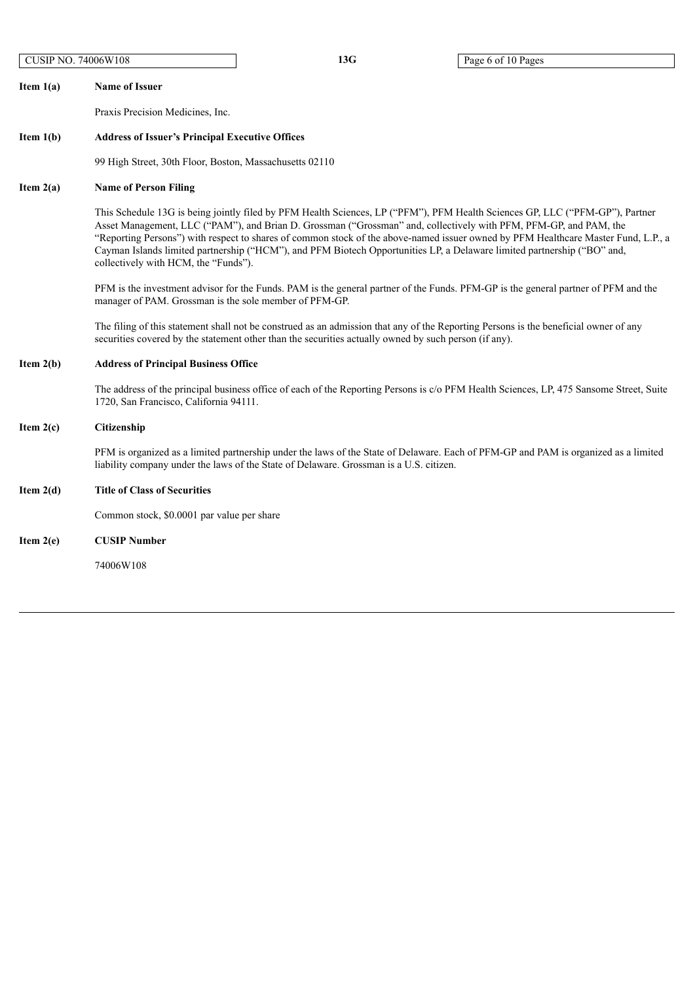13G Page 6 of 10 Pages

**Item 1(a) Name of Issuer** Praxis Precision Medicines, Inc. **Item 1(b) Address of Issuer's Principal Executive Offices** 99 High Street, 30th Floor, Boston, Massachusetts 02110 **Item 2(a) Name of Person Filing** This Schedule 13G is being jointly filed by PFM Health Sciences, LP ("PFM"), PFM Health Sciences GP, LLC ("PFM-GP"), Partner Asset Management, LLC ("PAM"), and Brian D. Grossman ("Grossman" and, collectively with PFM, PFM-GP, and PAM, the "Reporting Persons") with respect to shares of common stock of the above-named issuer owned by PFM Healthcare Master Fund, L.P., a Cayman Islands limited partnership ("HCM"), and PFM Biotech Opportunities LP, a Delaware limited partnership ("BO" and, collectively with HCM, the "Funds"). PFM is the investment advisor for the Funds. PAM is the general partner of the Funds. PFM-GP is the general partner of PFM and the manager of PAM. Grossman is the sole member of PFM-GP. The filing of this statement shall not be construed as an admission that any of the Reporting Persons is the beneficial owner of any securities covered by the statement other than the securities actually owned by such person (if any). **Item 2(b) Address of Principal Business Office** The address of the principal business office of each of the Reporting Persons is c/o PFM Health Sciences, LP, 475 Sansome Street, Suite 1720, San Francisco, California 94111. **Item 2(c) Citizenship** PFM is organized as a limited partnership under the laws of the State of Delaware. Each of PFM-GP and PAM is organized as a limited liability company under the laws of the State of Delaware. Grossman is a U.S. citizen. **Item 2(d) Title of Class of Securities** Common stock, \$0.0001 par value per share **Item 2(e) CUSIP Number** 74006W108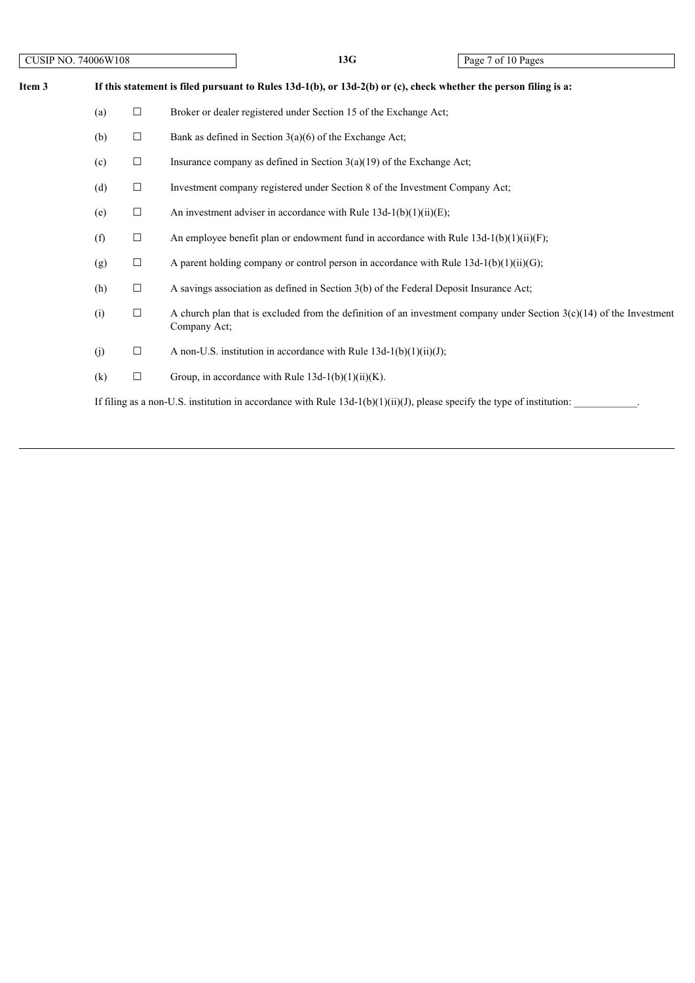| Item 3 | If this statement is filed pursuant to Rules $13d-1(b)$ , or $13d-2(b)$ or (c), check whether the person filing is a: |        |                                                                                                                                        |  |  |  |
|--------|-----------------------------------------------------------------------------------------------------------------------|--------|----------------------------------------------------------------------------------------------------------------------------------------|--|--|--|
|        | (a)                                                                                                                   | $\Box$ | Broker or dealer registered under Section 15 of the Exchange Act;                                                                      |  |  |  |
|        | (b)                                                                                                                   | $\Box$ | Bank as defined in Section $3(a)(6)$ of the Exchange Act;                                                                              |  |  |  |
|        | (c)                                                                                                                   | $\Box$ | Insurance company as defined in Section $3(a)(19)$ of the Exchange Act;                                                                |  |  |  |
|        | (d)                                                                                                                   | $\Box$ | Investment company registered under Section 8 of the Investment Company Act;                                                           |  |  |  |
|        | (e)                                                                                                                   | $\Box$ | An investment adviser in accordance with Rule $13d-1(b)(1)(ii)(E)$ ;                                                                   |  |  |  |
|        | (f)                                                                                                                   | $\Box$ | An employee benefit plan or endowment fund in accordance with Rule $13d-1(b)(1)(ii)(F)$ ;                                              |  |  |  |
|        | (g)                                                                                                                   | $\Box$ | A parent holding company or control person in accordance with Rule $13d-1(b)(1)(ii)(G)$ ;                                              |  |  |  |
|        | (h)                                                                                                                   | $\Box$ | A savings association as defined in Section 3(b) of the Federal Deposit Insurance Act;                                                 |  |  |  |
|        | (i)                                                                                                                   | $\Box$ | A church plan that is excluded from the definition of an investment company under Section $3(c)(14)$ of the Investment<br>Company Act; |  |  |  |
|        | (j)                                                                                                                   | $\Box$ | A non-U.S. institution in accordance with Rule $13d-1(b)(1)(ii)(J)$ ;                                                                  |  |  |  |
|        | (k)                                                                                                                   | $\Box$ | Group, in accordance with Rule $13d-1(b)(1)(ii)(K)$ .                                                                                  |  |  |  |
|        |                                                                                                                       |        | If filing as a non-U.S. institution in accordance with Rule $13d-1(b)(1)(ii)(J)$ , please specify the type of institution:             |  |  |  |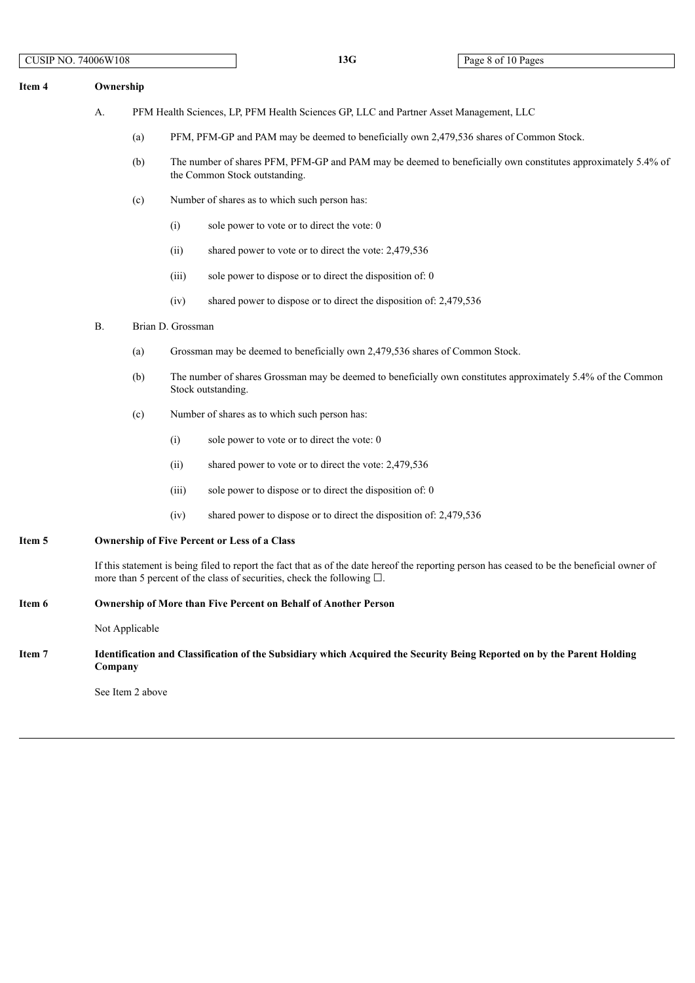| Item 4 | Ownership |                                                                                                                         |                                                                                                                                                                                                                                 |  |  |  |  |  |
|--------|-----------|-------------------------------------------------------------------------------------------------------------------------|---------------------------------------------------------------------------------------------------------------------------------------------------------------------------------------------------------------------------------|--|--|--|--|--|
|        | A.        |                                                                                                                         | PFM Health Sciences, LP, PFM Health Sciences GP, LLC and Partner Asset Management, LLC                                                                                                                                          |  |  |  |  |  |
|        |           | (a)                                                                                                                     | PFM, PFM-GP and PAM may be deemed to beneficially own 2,479,536 shares of Common Stock.                                                                                                                                         |  |  |  |  |  |
|        |           | (b)                                                                                                                     | The number of shares PFM, PFM-GP and PAM may be deemed to beneficially own constitutes approximately 5.4% of<br>the Common Stock outstanding.                                                                                   |  |  |  |  |  |
|        |           | (c)                                                                                                                     | Number of shares as to which such person has:                                                                                                                                                                                   |  |  |  |  |  |
|        |           |                                                                                                                         | (i)<br>sole power to vote or to direct the vote: 0                                                                                                                                                                              |  |  |  |  |  |
|        |           |                                                                                                                         | shared power to vote or to direct the vote: 2,479,536<br>(ii)                                                                                                                                                                   |  |  |  |  |  |
|        |           |                                                                                                                         | sole power to dispose or to direct the disposition of: 0<br>(iii)                                                                                                                                                               |  |  |  |  |  |
|        |           |                                                                                                                         | (iv)<br>shared power to dispose or to direct the disposition of: 2,479,536                                                                                                                                                      |  |  |  |  |  |
|        | <b>B.</b> |                                                                                                                         | Brian D. Grossman                                                                                                                                                                                                               |  |  |  |  |  |
|        |           | (a)                                                                                                                     | Grossman may be deemed to beneficially own 2,479,536 shares of Common Stock.                                                                                                                                                    |  |  |  |  |  |
|        |           | (b)                                                                                                                     | The number of shares Grossman may be deemed to beneficially own constitutes approximately 5.4% of the Common<br>Stock outstanding.                                                                                              |  |  |  |  |  |
|        |           | (c)                                                                                                                     | Number of shares as to which such person has:                                                                                                                                                                                   |  |  |  |  |  |
|        |           |                                                                                                                         | (i)<br>sole power to vote or to direct the vote: 0                                                                                                                                                                              |  |  |  |  |  |
|        |           |                                                                                                                         | (ii)<br>shared power to vote or to direct the vote: 2,479,536                                                                                                                                                                   |  |  |  |  |  |
|        |           |                                                                                                                         | (iii)<br>sole power to dispose or to direct the disposition of: 0                                                                                                                                                               |  |  |  |  |  |
|        |           |                                                                                                                         | shared power to dispose or to direct the disposition of: 2,479,536<br>(iv)                                                                                                                                                      |  |  |  |  |  |
| Item 5 |           | <b>Ownership of Five Percent or Less of a Class</b>                                                                     |                                                                                                                                                                                                                                 |  |  |  |  |  |
|        |           |                                                                                                                         | If this statement is being filed to report the fact that as of the date hereof the reporting person has ceased to be the beneficial owner of<br>more than 5 percent of the class of securities, check the following $\square$ . |  |  |  |  |  |
| Item 6 |           |                                                                                                                         | <b>Ownership of More than Five Percent on Behalf of Another Person</b>                                                                                                                                                          |  |  |  |  |  |
|        |           | Not Applicable                                                                                                          |                                                                                                                                                                                                                                 |  |  |  |  |  |
| Item 7 | Company   | Identification and Classification of the Subsidiary which Acquired the Security Being Reported on by the Parent Holding |                                                                                                                                                                                                                                 |  |  |  |  |  |

See Item 2 above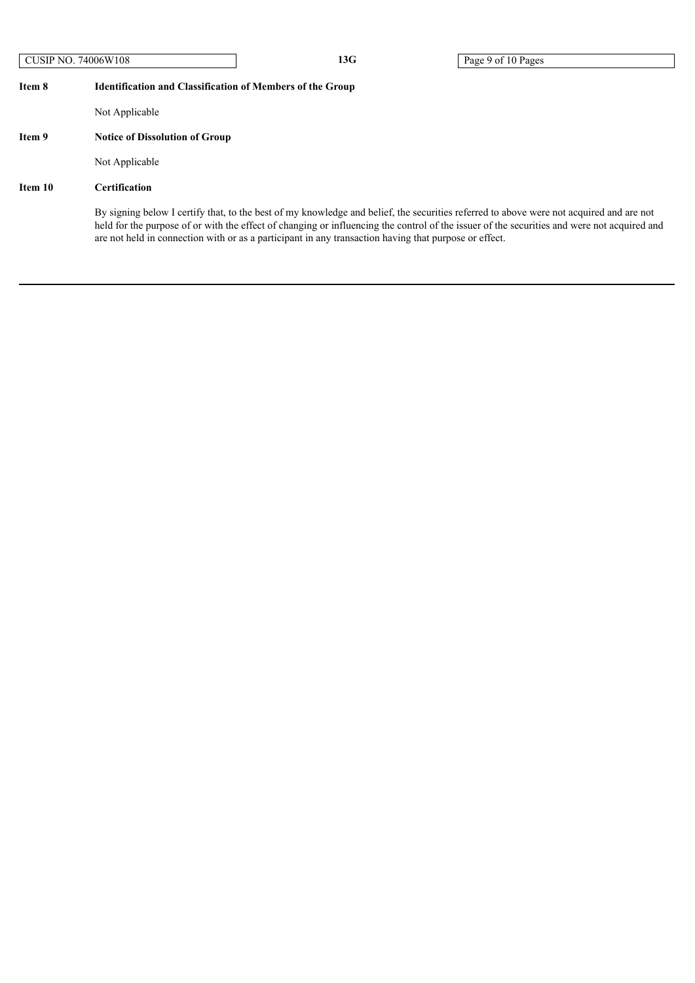# **Item 8 Identification and Classification of Members of the Group**

Not Applicable

# **Item 9 Notice of Dissolution of Group**

Not Applicable

# **Item 10 Certification**

By signing below I certify that, to the best of my knowledge and belief, the securities referred to above were not acquired and are not held for the purpose of or with the effect of changing or influencing the control of the issuer of the securities and were not acquired and are not held in connection with or as a participant in any transaction having that purpose or effect.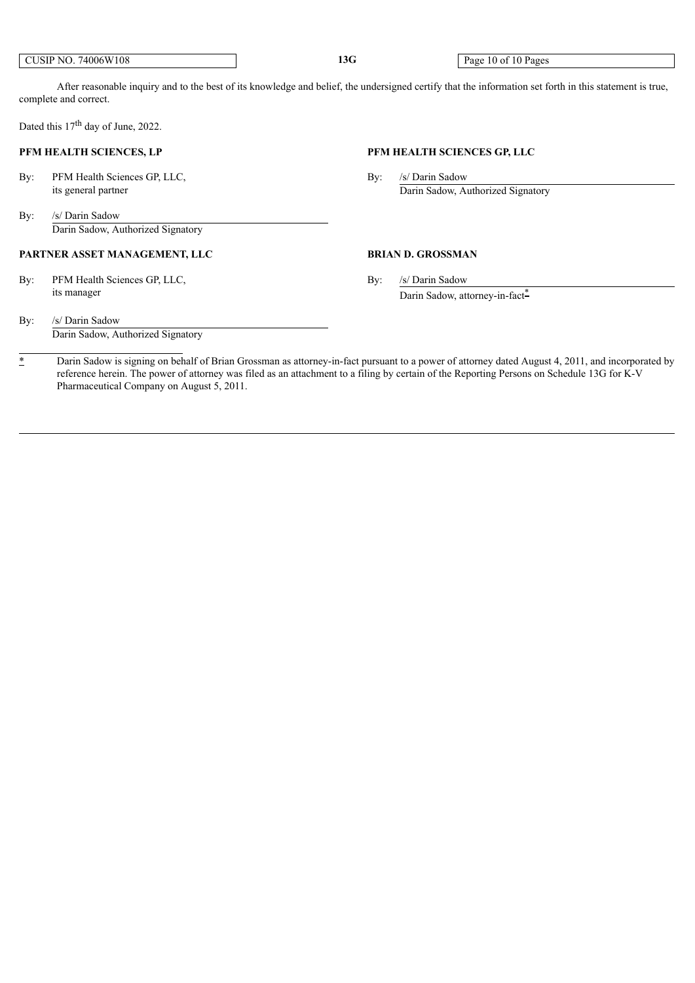CUSIP NO. 74006W108 **13G** Page 10 of 10 Pages

After reasonable inquiry and to the best of its knowledge and belief, the undersigned certify that the information set forth in this statement is true, complete and correct.

Dated this 17<sup>th</sup> day of June, 2022.

### **PFM HEALTH SCIENCES, LP PFM HEALTH SCIENCES GP, LLC**

By: PFM Health Sciences GP, LLC, By: /s/ Darin Sadow

### By: /s/ Darin Sadow Darin Sadow, Authorized Signatory

## **PARTNER ASSET MANAGEMENT, LLC BRIAN D. GROSSMAN**

By: PFM Health Sciences GP, LLC, By: /s/ Darin Sadow its manager Darin Sadow, attorney-in-fact<sup>\*</sup>

its general partner Darin Sadow, Authorized Signatory

By: /s/ Darin Sadow Darin Sadow, Authorized Signatory

<sup>\*</sup> Darin Sadow is signing on behalf of Brian Grossman as attorney-in-fact pursuant to a power of attorney dated August 4, 2011, and incorporated by reference herein. The power of attorney was filed as an attachment to a filing by certain of the Reporting Persons on Schedule 13G for K-V Pharmaceutical Company on August 5, 2011.